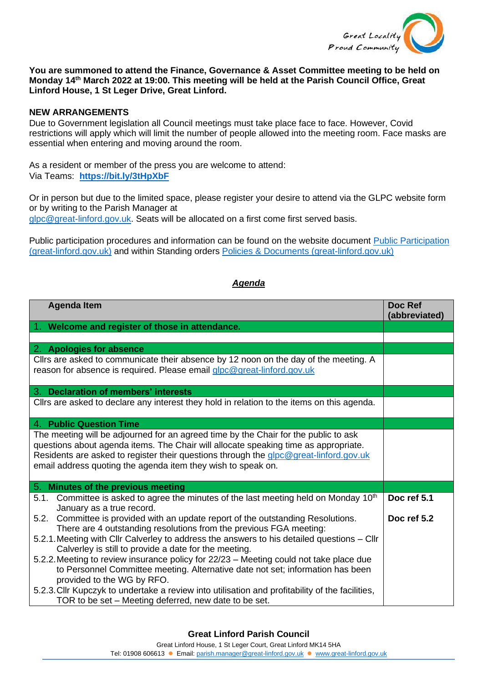

## **You are summoned to attend the Finance, Governance & Asset Committee meeting to be held on Monday 14th March 2022 at 19:00. This meeting will be held at the Parish Council Office, Great Linford House, 1 St Leger Drive, Great Linford.**

## **NEW ARRANGEMENTS**

Due to Government legislation all Council meetings must take place face to face. However, Covid restrictions will apply which will limit the number of people allowed into the meeting room. Face masks are essential when entering and moving around the room.

As a resident or member of the press you are welcome to attend: Via Teams: **<https://bit.ly/3tHpXbF>**

Or in person but due to the limited space, please register your desire to attend via the GLPC website form or by writing to the Parish Manager at

[glpc@great-linford.gov.uk.](mailto:glpc@great-linford.gov.uk) Seats will be allocated on a first come first served basis.

Public participation procedures and information can be found on the website document [Public Participation](https://www.great-linford.gov.uk/council-meetings/public-participation/)  [\(great-linford.gov.uk\)](https://www.great-linford.gov.uk/council-meetings/public-participation/) and within Standing orders [Policies & Documents \(great-linford.gov.uk\)](https://www.great-linford.gov.uk/the-parish-council/policies-documents/)

## *Agenda*

| <b>Agenda Item</b>                                                                                                                                                                                                                                                                                                                  | Doc Ref<br>(abbreviated) |
|-------------------------------------------------------------------------------------------------------------------------------------------------------------------------------------------------------------------------------------------------------------------------------------------------------------------------------------|--------------------------|
| 1. Welcome and register of those in attendance.                                                                                                                                                                                                                                                                                     |                          |
|                                                                                                                                                                                                                                                                                                                                     |                          |
| 2. Apologies for absence                                                                                                                                                                                                                                                                                                            |                          |
| Cllrs are asked to communicate their absence by 12 noon on the day of the meeting. A<br>reason for absence is required. Please email glpc@great-linford.gov.uk                                                                                                                                                                      |                          |
| <b>Declaration of members' interests</b><br>3.                                                                                                                                                                                                                                                                                      |                          |
| Cllrs are asked to declare any interest they hold in relation to the items on this agenda.                                                                                                                                                                                                                                          |                          |
| 4. Public Question Time                                                                                                                                                                                                                                                                                                             |                          |
| The meeting will be adjourned for an agreed time by the Chair for the public to ask<br>questions about agenda items. The Chair will allocate speaking time as appropriate.<br>Residents are asked to register their questions through the glpc@great-linford.gov.uk<br>email address quoting the agenda item they wish to speak on. |                          |
| 5. Minutes of the previous meeting                                                                                                                                                                                                                                                                                                  |                          |
| Committee is asked to agree the minutes of the last meeting held on Monday 10 <sup>th</sup><br>5.1.<br>January as a true record.                                                                                                                                                                                                    | Doc ref 5.1              |
| 5.2. Committee is provided with an update report of the outstanding Resolutions.<br>There are 4 outstanding resolutions from the previous FGA meeting:                                                                                                                                                                              | Doc ref 5.2              |
| 5.2.1. Meeting with Cllr Calverley to address the answers to his detailed questions - Cllr<br>Calverley is still to provide a date for the meeting.                                                                                                                                                                                 |                          |
| 5.2.2. Meeting to review insurance policy for 22/23 - Meeting could not take place due<br>to Personnel Committee meeting. Alternative date not set; information has been<br>provided to the WG by RFO.                                                                                                                              |                          |
| 5.2.3. Cllr Kupczyk to undertake a review into utilisation and profitability of the facilities,<br>TOR to be set – Meeting deferred, new date to be set.                                                                                                                                                                            |                          |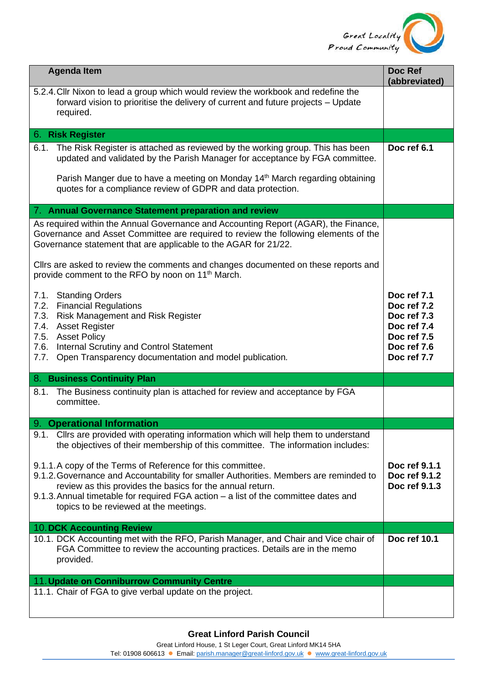

| <b>Agenda Item</b>                                                                                                                                                                                                                                                                                                                                                                                                                                                                                                                                                   | Doc Ref<br>(abbreviated)                                                |
|----------------------------------------------------------------------------------------------------------------------------------------------------------------------------------------------------------------------------------------------------------------------------------------------------------------------------------------------------------------------------------------------------------------------------------------------------------------------------------------------------------------------------------------------------------------------|-------------------------------------------------------------------------|
| 5.2.4. Cllr Nixon to lead a group which would review the workbook and redefine the<br>forward vision to prioritise the delivery of current and future projects - Update<br>required.                                                                                                                                                                                                                                                                                                                                                                                 |                                                                         |
| 6. Risk Register                                                                                                                                                                                                                                                                                                                                                                                                                                                                                                                                                     |                                                                         |
| The Risk Register is attached as reviewed by the working group. This has been<br>6.1.<br>updated and validated by the Parish Manager for acceptance by FGA committee.<br>Parish Manger due to have a meeting on Monday 14 <sup>th</sup> March regarding obtaining<br>quotes for a compliance review of GDPR and data protection.                                                                                                                                                                                                                                     | Doc ref 6.1                                                             |
| 7. Annual Governance Statement preparation and review                                                                                                                                                                                                                                                                                                                                                                                                                                                                                                                |                                                                         |
| As required within the Annual Governance and Accounting Report (AGAR), the Finance,<br>Governance and Asset Committee are required to review the following elements of the<br>Governance statement that are applicable to the AGAR for 21/22.<br>Cllrs are asked to review the comments and changes documented on these reports and<br>provide comment to the RFO by noon on 11 <sup>th</sup> March.<br><b>Standing Orders</b><br>7.1.<br>7.2. Financial Regulations<br>7.3.<br><b>Risk Management and Risk Register</b><br>7.4. Asset Register<br>7.5. Asset Policy | Doc ref 7.1<br>Doc ref 7.2<br>Doc ref 7.3<br>Doc ref 7.4<br>Doc ref 7.5 |
| 7.6.<br>Internal Scrutiny and Control Statement<br>7.7.<br>Open Transparency documentation and model publication.                                                                                                                                                                                                                                                                                                                                                                                                                                                    | Doc ref 7.6<br>Doc ref 7.7                                              |
| 8. Business Continuity Plan                                                                                                                                                                                                                                                                                                                                                                                                                                                                                                                                          |                                                                         |
| The Business continuity plan is attached for review and acceptance by FGA<br>8.1.<br>committee.                                                                                                                                                                                                                                                                                                                                                                                                                                                                      |                                                                         |
| 9. Operational Information                                                                                                                                                                                                                                                                                                                                                                                                                                                                                                                                           |                                                                         |
| Cllrs are provided with operating information which will help them to understand<br>9.1.<br>the objectives of their membership of this committee. The information includes:<br>9.1.1.A copy of the Terms of Reference for this committee.<br>9.1.2. Governance and Accountability for smaller Authorities. Members are reminded to<br>review as this provides the basics for the annual return.<br>9.1.3. Annual timetable for required FGA action - a list of the committee dates and<br>topics to be reviewed at the meetings.                                     | Doc ref 9.1.1<br>Doc ref 9.1.2<br>Doc ref 9.1.3                         |
| <b>10. DCK Accounting Review</b>                                                                                                                                                                                                                                                                                                                                                                                                                                                                                                                                     |                                                                         |
| 10.1. DCK Accounting met with the RFO, Parish Manager, and Chair and Vice chair of<br>FGA Committee to review the accounting practices. Details are in the memo<br>provided.                                                                                                                                                                                                                                                                                                                                                                                         | Doc ref 10.1                                                            |
| 11. Update on Conniburrow Community Centre                                                                                                                                                                                                                                                                                                                                                                                                                                                                                                                           |                                                                         |
| 11.1. Chair of FGA to give verbal update on the project.                                                                                                                                                                                                                                                                                                                                                                                                                                                                                                             |                                                                         |